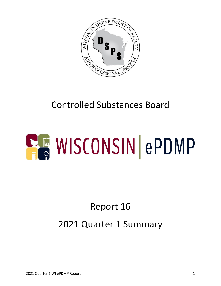

## Controlled Substances Board

# **ELE WISCONSIN ePDMP**

## Report 16 2021 Quarter 1 Summary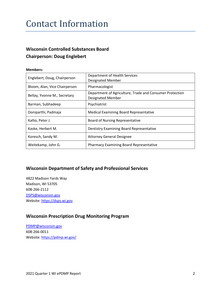#### Contact Information

#### **Wisconsin Controlled Substances Board Chairperson: Doug Englebert**

#### **Members:**

| Englebert, Doug, Chairperson  | Department of Health Services<br><b>Designated Member</b>                            |  |  |
|-------------------------------|--------------------------------------------------------------------------------------|--|--|
| Bloom, Alan, Vice Chairperson | Pharmacologist                                                                       |  |  |
| Bellay, Yvonne M., Secretary  | Department of Agriculture, Trade and Consumer Protection<br><b>Designated Member</b> |  |  |
| Barman, Subhadeep             | Psychiatrist                                                                         |  |  |
| Doniparthi, Padmaja           | <b>Medical Examining Board Representative</b>                                        |  |  |
| Kallio, Peter J.              | <b>Board of Nursing Representative</b>                                               |  |  |
| Kaske, Herbert M.             | Dentistry Examining Board Representative                                             |  |  |
| Koresch, Sandy M.             | <b>Attorney General Designee</b>                                                     |  |  |
| Weitekamp, John G.            | <b>Pharmacy Examining Board Representative</b>                                       |  |  |

#### **Wisconsin Department of Safety and Professional Services**

4822 Madison Yards Way Madison, WI 53705 608-266-2112 [DSPS@wisconsin.gov](mailto:DSPS@wisconsin.gov) Website[: https://dsps.wi.gov](https://dsps.wi.gov/)

#### **Wisconsin Prescription Drug Monitoring Program**

[PDMP@wisconsin.gov](mailto:PDMP@wisconsin.gov) 608-266-0011 Website[: https://pdmp.wi.gov/](https://pdmp.wi.gov/)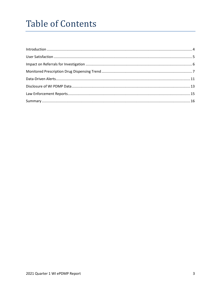## **Table of Contents**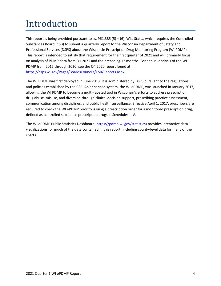## <span id="page-3-0"></span>Introduction

This report is being provided pursuant to ss.  $961.385(5) - (6)$ , Wis. Stats., which requires the Controlled Substances Board (CSB) to submit a quarterly report to the Wisconsin Department of Safety and Professional Services (DSPS) about the Wisconsin Prescription Drug Monitoring Program (WI PDMP). This report is intended to satisfy that requirement for the first quarter of 2021 and will primarily focus on analysis of PDMP data from Q1 2021 and the preceding 12 months. For annual analysis of the WI PDMP from 2015 through 2020, see the Q4 2020 report found at [https://dsps.wi.gov/Pages/BoardsCouncils/CSB/Reports.aspx.](https://dsps.wi.gov/Pages/BoardsCouncils/CSB/Reports.aspx)

The WI PDMP was first deployed in June 2013. It is administered by DSPS pursuant to the regulations and policies established by the CSB. An enhanced system, the WI ePDMP, was launched in January 2017, allowing the WI PDMP to become a multi-faceted tool in Wisconsin's efforts to address prescription drug abuse, misuse, and diversion through clinical decision support, prescribing practice assessment, communication among disciplines, and public health surveillance. Effective April 1, 2017, prescribers are required to check the WI ePDMP prior to issuing a prescription order for a monitored prescription drug, defined as controlled substance prescription drugs in Schedules II-V.

The WI ePDMP Public Statistics Dashboard [\(https://pdmp.wi.gov/statistics\)](https://pdmp.wi.gov/statistics) provides interactive data visualizations for much of the data contained in this report, including county-level data for many of the charts.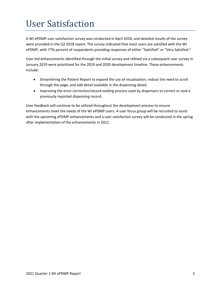## <span id="page-4-0"></span>User Satisfaction

A WI ePDMP user satisfaction survey was conducted in April 2018, and detailed results of the survey were provided in the Q2 2018 report. The survey indicated that most users are satisfied with the WI ePDMP, with 77% percent of respondents providing responses of either "Satisfied" or "Very Satisfied."

User-led enhancements identified through the initial survey and refined via a subsequent user survey in January 2019 were prioritized for the 2019 and 2020 development timeline. These enhancements include:

- Streamlining the Patient Report to expand the use of visualization, reduce the need to scroll through the page, and add detail available in the dispensing detail;
- Improving the error correction/record voiding process used by dispensers to correct or void a previously reported dispensing record.

User feedback will continue to be utilized throughout the development process to ensure enhancements meet the needs of the WI ePDMP users. A user focus group will be recruited to assist with the upcoming ePDMP enhancements and a user satisfaction survey will be conducted in the spring after implementation of the enhancements in 2021.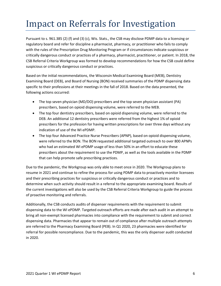## <span id="page-5-0"></span>Impact on Referrals for Investigation

Pursuant to s. 961.385 (2) (f) and (3) (c), Wis. Stats., the CSB may disclose PDMP data to a licensing or regulatory board and refer for discipline a pharmacist, pharmacy, or practitioner who fails to comply with the rules of the Prescription Drug Monitoring Program or if circumstances indicate suspicious or critically dangerous conduct or practices of a pharmacy, pharmacist, practitioner, or patient. In 2018, the CSB Referral Criteria Workgroup was formed to develop recommendations for how the CSB could define suspicious or critically dangerous conduct or practices.

Based on the initial recommendations, the Wisconsin Medical Examining Board (MEB), Dentistry Examining Board (DEB), and Board of Nursing (BON) received summaries of the PDMP dispensing data specific to their professions at their meetings in the fall of 2018. Based on the data presented, the following actions occurred:

- The top seven physician (MD/DO) prescribers and the top seven physician assistant (PA) prescribers, based on opioid dispensing volume, were referred to the MEB.
- The top four dentistry prescribers, based on opioid dispensing volume, were referred to the DEB. An additional 12 dentistry prescribers were referred from the highest 1% of opioid prescribers for the profession for having written prescriptions for over three days without any indication of use of the WI ePDMP.
- The top four Advanced Practice Nurse Prescribers (APNP), based on opioid dispensing volume, were referred to the BON. The BON requested additional targeted outreach to over 800 APNPs who had an estimated WI ePDMP usage of less than 50% in an effort to educate these prescribers about the requirement to use the PDMP, as well as the tools available in the PDMP that can help promote safe prescribing practices.

Due to the pandemic, the Workgroup was only able to meet once in 2020. The Workgroup plans to resume in 2021 and continue to refine the process for using PDMP data to proactively monitor licensees and their prescribing practices for suspicious or critically dangerous conduct or practices and to determine when such activity should result in a referral to the appropriate examining board. Results of the current investigations will also be used by the CSB Referral Criteria Workgroup to guide the process of proactive monitoring and referrals.

Additionally, the CSB conducts audits of dispenser requirements with the requirement to submit dispensing data to the WI ePDMP. Targeted outreach efforts are made after each audit in an attempt to bring all non-exempt licensed pharmacies into compliance with the requirement to submit and correct dispensing data. Pharmacies that appear to remain out of compliance after multiple outreach attempts are referred to the Pharmacy Examining Board (PEB). In Q1 2020, 23 pharmacies were identified for referral for possible noncompliance. Due to the pandemic, this was the only dispenser audit conducted in 2020.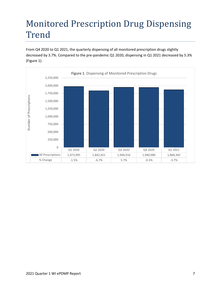## <span id="page-6-0"></span>Monitored Prescription Drug Dispensing Trend

From Q4 2020 to Q1 2021, the quarterly dispensing of all monitored prescription drugs slightly decreased by 3.7%. Compared to the pre-pandemic Q1 2020, dispensing in Q1 2021 decreased by 5.3% (Figure 1).

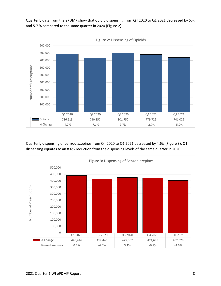

Quarterly data from the ePDMP show that opioid dispensing from Q4 2020 to Q1 2021 decreased by 5%, and 5.7 % compared to the same quarter in 2020 (Figure 2).

Quarterly dispensing of benzodiazepines from Q4 2020 to Q1 2021 decreased by 4.6% (Figure 3). Q1 dispensing equates to an 8.6% reduction from the dispensing levels of the same quarter in 2020.

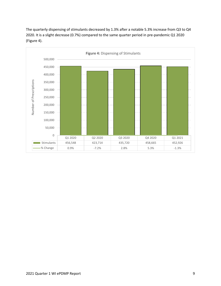

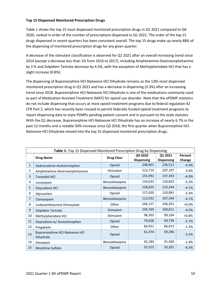#### **Top 15 Dispensed Monitored Prescription Drugs**

Table 1 shows the top 15 most dispensed monitored prescription drugs in Q1 2021 compared to Q4 2020, ranked in order of the number of prescriptions dispensed in Q1 2021. The order of the top 15 drugs dispensed in recent quarters has been consistent overall. The top 15 drugs make up nearly 88% of the dispensing of monitored prescription drugs for any given quarter.

A decrease of the stimulant classification is observed for Q1 2021 after an overall increasing trend since 2014 (except a decrease less than 1% from 2016 to 2017), including Amphetamine-Dextroamphetamine by 3 % and Zolpidem Tartrate decrease by 4.5%, with the exception of Methylphenidate HCl that has a slight increase (0.8%).

The dispensing of Buprenorphine HCl-Naloxone HCl Dihydrate remains as the 13th most dispensed monitored prescription drug in Q1 2021 and has a decrease in dispensing (3.3%) after an increasing trend since 2018. Buprenorphine HCl-Naloxone HCl Dihydrate is one of the medications commonly used as part of Medication-Assisted Treatment (MAT) for opioid use disorder. Note that the ePDMP statistics do not include dispensing that occurs at most opioid treatment programs due to federal regulation 42 CFR Part 2, which has recently been revised to permit federally funded opioid treatment programs to report dispensing data to state PDMPs pending patient consent and in pursuant to the state statutes. With the Q1 decrease, Buprenorphine HCl-Naloxone HCl Dihydrate has an increase of nearly 6.7% in the past 12 months and a notable 50% increase since Q3 2018, the first quarter when Buprenorphine HCl-Naloxone HCl Dihydrate moved into the top 15 dispensed monitored prescription drugs.

| Table 1: Top 15 Dispensed Monitored Prescription Drug by Dispensing |                                             |                   |                              |                              |                   |  |  |  |  |
|---------------------------------------------------------------------|---------------------------------------------|-------------------|------------------------------|------------------------------|-------------------|--|--|--|--|
|                                                                     | <b>Drug Name</b>                            | <b>Drug Class</b> | Q4 2020<br><b>Dispensing</b> | Q1 2021<br><b>Dispensing</b> | Percent<br>Change |  |  |  |  |
| $\mathbf{1}$                                                        | Hydrocodone-Acetaminophen                   | Opioid            | 248,901                      | 236,512                      | $-4.9%$           |  |  |  |  |
| 2                                                                   | Amphetamine-Dextroamphetamine               | Stimulant         | 213,719                      |                              | $-3.0%$           |  |  |  |  |
| 3                                                                   | <b>Tramadol HCI</b>                         | Opioid            | 155,092                      | 147,343                      | $-4.9%$           |  |  |  |  |
| 4                                                                   | Lorazepam                                   | Benzodiazepine    | 134,033                      | 126,835                      | $-5.3%$           |  |  |  |  |
| 5.                                                                  | Oxycodone HCl                               | Benzodiazepine    | 128,625                      | 123,244                      | $-4.1%$           |  |  |  |  |
| 6                                                                   | Alprazolam                                  | Opioid            | 127,020                      | 120,081                      | $-5.4%$           |  |  |  |  |
| 7                                                                   | Clonazepam                                  | Benzodiazepine    | 112,032                      | 107,344                      | $-4.1%$           |  |  |  |  |
| 8                                                                   | Lisdexamfetamine Dimesylate                 | Other             | 106,137                      | 106,201                      | $+0.0%$           |  |  |  |  |
| 9                                                                   | Zolpidem Tartrate                           | Stimulant         | 104,769                      | 100,011                      | $-4.5%$           |  |  |  |  |
| 10                                                                  | Methylphenidate HCl                         | Stimulant         | 98,303                       | 99,104                       | $+0.8%$           |  |  |  |  |
| 11                                                                  | Oxycodone w/ Acetaminophen                  | Opioid            | 74,028                       | 69,739                       | $-5.7%$           |  |  |  |  |
| 12                                                                  | Pregabalin                                  | Other             | 66,921                       |                              | $-1.3%$           |  |  |  |  |
| 13                                                                  | Buprenorphine HCl-Naloxone HCl<br>Dihydrate | Opioid            | 61,374                       | 59,296                       | $-3.3%$           |  |  |  |  |
| 14                                                                  | Diazepam                                    | Benzodiazepine    | 42,184                       | 41,569                       | $-1.4%$           |  |  |  |  |
| 15                                                                  | Morphine Sulfate                            | Opioid            | 35,523                       | 33,201                       | $-6.5%$           |  |  |  |  |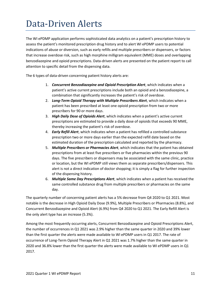#### <span id="page-10-0"></span>Data-Driven Alerts

The WI ePDMP application performs sophisticated data analytics on a patient's prescription history to assess the patient's monitored prescription drug history and to alert WI ePDMP users to potential indications of abuse or diversion, such as early refills and multiple prescribers or dispensers, or factors that increase overdose risk, such as high morphine milligram equivalent (MME) doses and overlapping benzodiazepine and opioid prescriptions. Data-driven alerts are presented on the patient report to call attention to specific detail from the dispensing data.

The 6 types of data-driven concerning patient history alerts are:

- 1. *Concurrent Benzodiazepine and Opioid Prescription Alert*, which indicates when a patient's active current prescriptions include both an opioid and a benzodiazepine, a combination that significantly increases the patient's risk of overdose.
- 2. *Long-Term Opioid Therapy with Multiple Prescribers Alert*, which indicates when a patient has been prescribed at least one opioid prescription from two or more prescribers for 90 or more days.
- 3. *High Daily Dose of Opioids Alert*, which indicates when a patient's active current prescriptions are estimated to provide a daily dose of opioids that exceeds 90 MME, thereby increasing the patient's risk of overdose.
- 4. *Early Refill Alert*, which indicates when a patient has refilled a controlled substance prescription two or more days earlier than the expected refill date based on the estimated duration of the prescription calculated and reported by the pharmacy.
- 5. *Multiple Prescribers or Pharmacies Alert*, which indicates that the patient has obtained prescriptions from at least five prescribers or five pharmacies within the previous 90 days. The five prescribers or dispensers may be associated with the same clinic, practice or location, but the WI ePDMP still views them as separate prescribers/dispensers. This alert is not a direct indication of doctor shopping; it is simply a flag for further inspection of the dispensing history.
- 6. *Multiple Same Day Prescriptions Alert*, which indicates when a patient has received the same controlled substance drug from multiple prescribers or pharmacies on the same day.

The quarterly number of concerning patient alerts has a 5% decrease from Q4 2020 to Q1 2021. Most notable is the decrease in High Opioid Daily Dose (9.9%), Multiple Prescribers or Pharmacies (8.8%), and Concurrent Benzodiazepine and Opioid Alert (6.9%) from Q4 2020 to Q1 2021. The Early Refill Alert is the only alert type has an increase (5.3%).

Among the most frequently occurring alerts, Concurrent Benzodiazepine and Opioid Prescriptions Alert, the number of occurrences in Q1 2021 was 2.9% higher than the same quarter in 2020 and 39% lower than the first quarter the alerts were made available to WI ePDMP users in Q1 2017. The rate of occurrence of Long-Term Opioid Therapy Alert in Q1 2021 was 1.7% higher than the same quarter in 2020 and 36.8% lower than the first quarter the alerts were made available to WI ePDMP users in Q1 2017.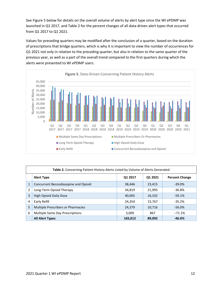See Figure 5 below for details on the overall volume of alerts by alert type since the WI ePDMP was launched in Q1 2017, and Table 2 for the percent changes of all data-driven alert types that occurred from Q1 2017 to Q1 2021.

Values for preceding quarters may be modified after the conclusion of a quarter, based on the duration of prescriptions that bridge quarters, which is why it is important to view the number of occurrences for Q1 2021 not only in relation to the preceding quarter, but also in relation to the same quarter of the previous year, as well as a part of the overall trend compared to the first quarters during which the alerts were presented to WI ePDMP users.



| Table 2. Concerning Patient History Alerts Listed by Volume of Alerts Generated |                                           |         |         |                       |  |  |  |  |
|---------------------------------------------------------------------------------|-------------------------------------------|---------|---------|-----------------------|--|--|--|--|
|                                                                                 | <b>Alert Type</b>                         | Q1 2017 | 01 2021 | <b>Percent Change</b> |  |  |  |  |
| 1                                                                               | Concurrent Benzodiazepine and Opioid      | 38,446  | 23,415  | $-39.0\%$             |  |  |  |  |
| $\overline{2}$                                                                  | Long-Term Opioid Therapy                  | 34,819  | 21,995  | $-36.8%$              |  |  |  |  |
| 3                                                                               | <b>High Opioid Daily Dose</b>             | 40,005  | 16,332  | $-59.1%$              |  |  |  |  |
| 4                                                                               | Early Refill                              | 24.354  | 15,767  | $-35.2%$              |  |  |  |  |
| 5                                                                               | <b>Multiple Prescribers or Pharmacies</b> | 24,379  | 10,716  | $-56.0%$              |  |  |  |  |
| 6                                                                               | Multiple Same Day Prescriptions           | 3.009   | 867     | $-71.1%$              |  |  |  |  |
|                                                                                 | <b>All Alert Types</b>                    | 165,012 | 89,092  | $-46.0\%$             |  |  |  |  |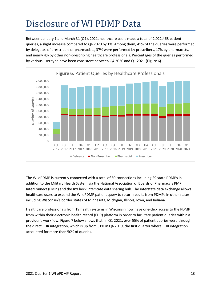## <span id="page-12-0"></span>Disclosure of WI PDMP Data

Between January 1 and March 31 (Q1), 2021, healthcare users made a total of 2,022,468 patient queries, a slight increase compared to Q4 2020 by 1%. Among them, 41% of the queries were performed by delegates of prescribers or pharmacists, 37% were performed by prescribers, 17% by pharmacists, and nearly 4% by other non-prescribing healthcare professionals. Percentages of the queries performed by various user type have been consistent between Q4 2020 and Q1 2021 (Figure 6).



The WI ePDMP is currently connected with a total of 30 connections including 29 state PDMPs in addition to the Military Health System via the National Association of Boards of Pharmacy's PMP InterConnect (PMPi) and the RxCheck interstate data sharing hub. The interstate data exchange allows healthcare users to expand the WI ePDMP patient query to return results from PDMPs in other states, including Wisconsin's border states of Minnesota, Michigan, Illinois, Iowa, and Indiana.

Healthcare professionals from 19 health systems in Wisconsin now have one-click access to the PDMP from within their electronic health record (EHR) platform in order to facilitate patient queries within a provider's workflow. Figure 7 below shows that, in Q1 2021, over 55% of patient queries were through the direct EHR integration, which is up from 51% in Q4 2019, the first quarter where EHR integration accounted for more than 50% of queries.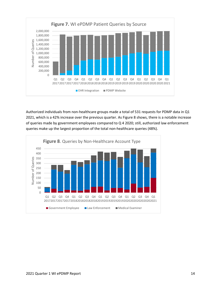

Authorized individuals from non-healthcare groups made a total of 531 requests for PDMP data in Q1 2021, which is a 42% increase over the previous quarter. As Figure 8 shows, there is a notable increase of queries made by government employees compared to Q 4 2020; still, authorized law enforcement queries make up the largest proportion of the total non-healthcare queries (48%).

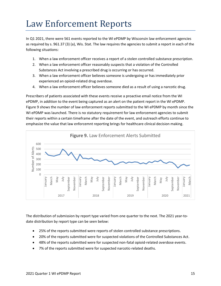#### <span id="page-14-0"></span>Law Enforcement Reports

In Q1 2021, there were 561 events reported to the WI ePDMP by Wisconsin law enforcement agencies as required by s. [961.37 \(3\) \(a\),](https://docs.legis.wisconsin.gov/document/statutes/961.37(3)(a)) Wis. Stat. The law requires the agencies to submit a report in each of the following situations:

- 1. When a law enforcement officer receives a report of a stolen controlled substance prescription.
- 2. When a law enforcement officer reasonably suspects that a violation of the Controlled Substances Act involving a prescribed drug is occurring or has occurred.
- 3. When a law enforcement officer believes someone is undergoing or has immediately prior experienced an opioid-related drug overdose.
- 4. When a law enforcement officer believes someone died as a result of using a narcotic drug.

Prescribers of patients associated with these events receive a proactive email notice from the WI ePDMP, in addition to the event being captured as an alert on the patient report in the WI ePDMP. Figure 9 shows the number of law enforcement reports submitted to the WI ePDMP by month since the WI ePDMP was launched. There is no statutory requirement for law enforcement agencies to submit their reports within a certain timeframe after the date of the event, and outreach efforts continue to emphasize the value that law enforcemnt reporting brings for healthcare clinical decision making.



The distribution of submission by report type varied from one quarter to the next. The 2021 year-todate distribution by report type can be seen below:

- 25% of the reports submitted were reports of stolen controlled substance prescriptions.
- 20% of the reports submitted were for suspected violations of the Controlled Substances Act.
- 48% of the reports submitted were for suspected non-fatal opioid-related overdose events.
- 7% of the reports submitted were for suspected narcotic-related deaths.